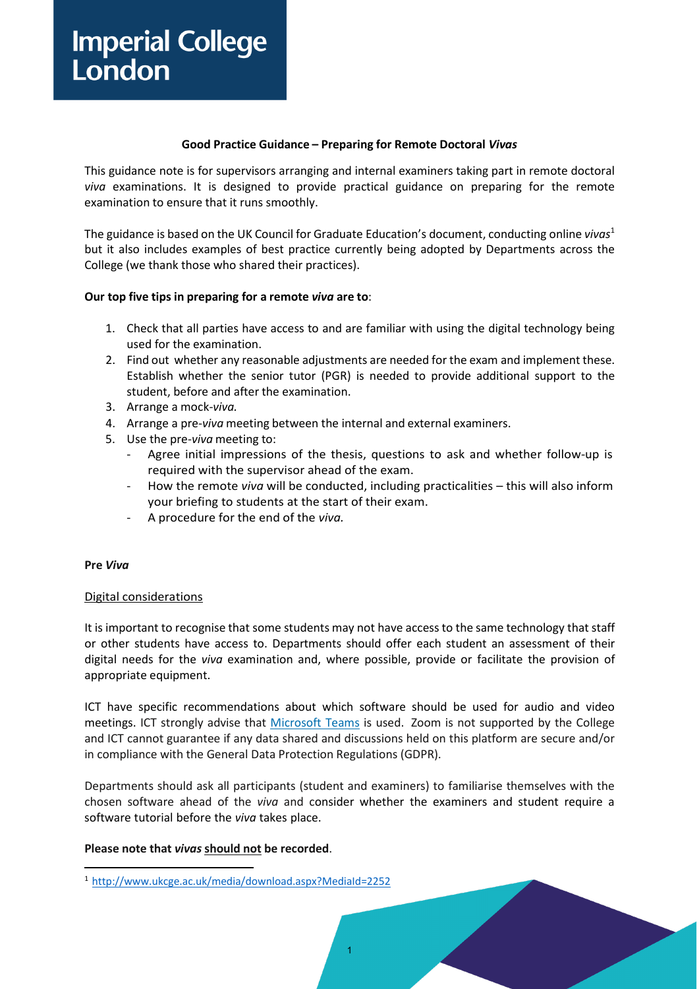# **Imperial College** London

### **Good Practice Guidance – Preparing for Remote Doctoral** *Vivas*

This guidance note is for supervisors arranging and internal examiners taking part in remote doctoral *viva* examinations. It is designed to provide practical guidance on preparing for the remote examination to ensure that it runs smoothly.

The guidance is based on the UK Council for Graduate Education's document, conducting online *viva[s](#page-0-0)*<sup>1</sup> but it also includes examples of best practice currently being adopted by Departments across the College (we thank those who shared their practices).

### **Our top five tips in preparing for a remote** *viva* **are to**:

- 1. Check that all parties have access to and are familiar with using the digital technology being used for the examination.
- 2. Find out whether any reasonable adjustments are needed for the exam and implement these. Establish whether the senior tutor (PGR) is needed to provide additional support to the student, before and after the examination.
- 3. Arrange a mock-*viva.*
- 4. Arrange a pre-*viva* meeting between the internal and external examiners.
- 5. Use the pre-*viva* meeting to:
	- Agree initial impressions of the thesis, questions to ask and whether follow-up is required with the supervisor ahead of the exam.
	- How the remote *viva* will be conducted, including practicalities this will also inform your briefing to students at the start of their exam.
	- A procedure for the end of the *viva.*

### **Pre** *Viva*

### Digital considerations

It is important to recognise that some students may not have access to the same technology that staff or other students have access to. Departments should offer each student an assessment of their digital needs for the *viva* examination and, where possible, provide or facilitate the provision of appropriate equipment.

ICT have specific recommendations about which software should be used for audio and video meetings. ICT strongly advise that [Microsoft Teams](https://www.imperial.ac.uk/admin-services/ict/self-service/connect-communicate/office-365/apps/microsoft-teams/) is used. Zoom is not supported by the College and ICT cannot guarantee if any data shared and discussions held on this platform are secure and/or in compliance with the General Data Protection Regulations (GDPR).

Departments should ask all participants (student and examiners) to familiarise themselves with the chosen software ahead of the *viva* and consider whether the examiners and student require a software tutorial before the *viva* takes place.

1

### **Please note that** *vivas* **should not be recorded**.

<span id="page-0-0"></span><sup>1</sup> <http://www.ukcge.ac.uk/media/download.aspx?MediaId=2252>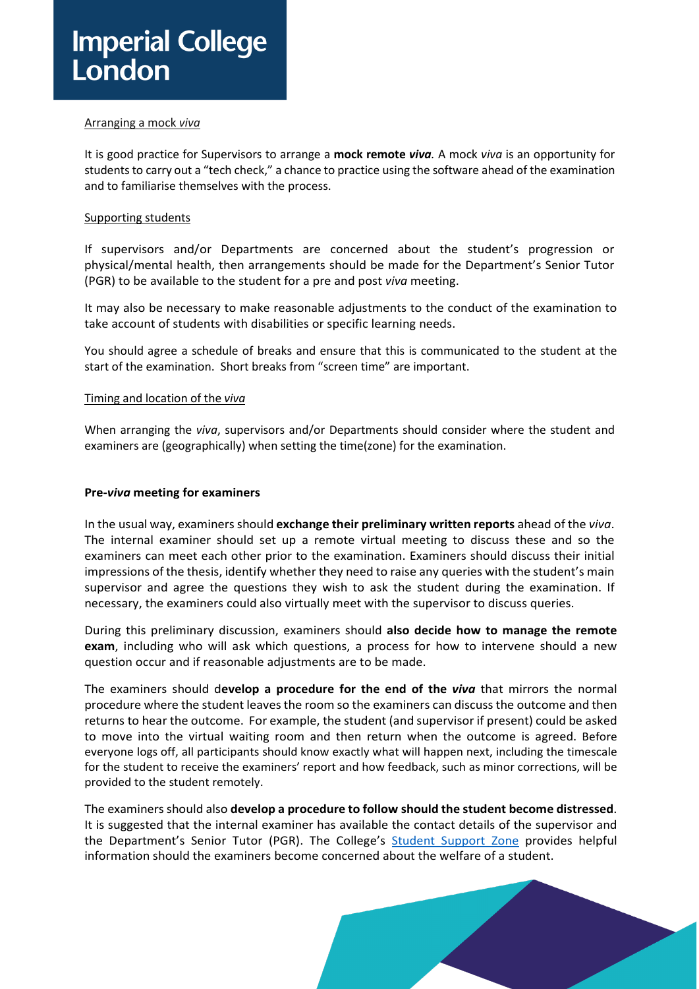#### Arranging a mock *viva*

It is good practice for Supervisors to arrange a **mock remote** *viva.* A mock *viva* is an opportunity for students to carry out a "tech check," a chance to practice using the software ahead of the examination and to familiarise themselves with the process.

### Supporting students

If supervisors and/or Departments are concerned about the student's progression or physical/mental health, then arrangements should be made for the Department's Senior Tutor (PGR) to be available to the student for a pre and post *viva* meeting.

It may also be necessary to make reasonable adjustments to the conduct of the examination to take account of students with disabilities or specific learning needs.

You should agree a schedule of breaks and ensure that this is communicated to the student at the start of the examination. Short breaks from "screen time" are important.

#### Timing and location of the *viva*

When arranging the *viva*, supervisors and/or Departments should consider where the student and examiners are (geographically) when setting the time(zone) for the examination.

#### **Pre-***viva* **meeting for examiners**

In the usual way, examiners should **exchange their preliminary written reports** ahead of the *viva*. The internal examiner should set up a remote virtual meeting to discuss these and so the examiners can meet each other prior to the examination. Examiners should discuss their initial impressions of the thesis, identify whether they need to raise any queries with the student's main supervisor and agree the questions they wish to ask the student during the examination. If necessary, the examiners could also virtually meet with the supervisor to discuss queries.

During this preliminary discussion, examiners should **also decide how to manage the remote exam**, including who will ask which questions, a process for how to intervene should a new question occur and if reasonable adjustments are to be made.

The examiners should d**evelop a procedure for the end of the** *viva* that mirrors the normal procedure where the student leavesthe room so the examiners can discussthe outcome and then returns to hear the outcome. For example, the student (and supervisor if present) could be asked to move into the virtual waiting room and then return when the outcome is agreed. Before everyone logs off, all participants should know exactly what will happen next, including the timescale for the student to receive the examiners' report and how feedback, such as minor corrections, will be provided to the student remotely.

The examinersshould also **develop a procedure to follow should the student become distressed**. It is suggested that the internal examiner has available the contact details of the supervisor and the Department's Senior Tutor (PGR). The College's [Student Support Zone](https://www.imperial.ac.uk/student-support-zone/common-concerns/worried-about-someone-else/concerned-about-a-students-wellbeing-or-safety/) provides helpful information should the examiners become concerned about the welfare of a student.

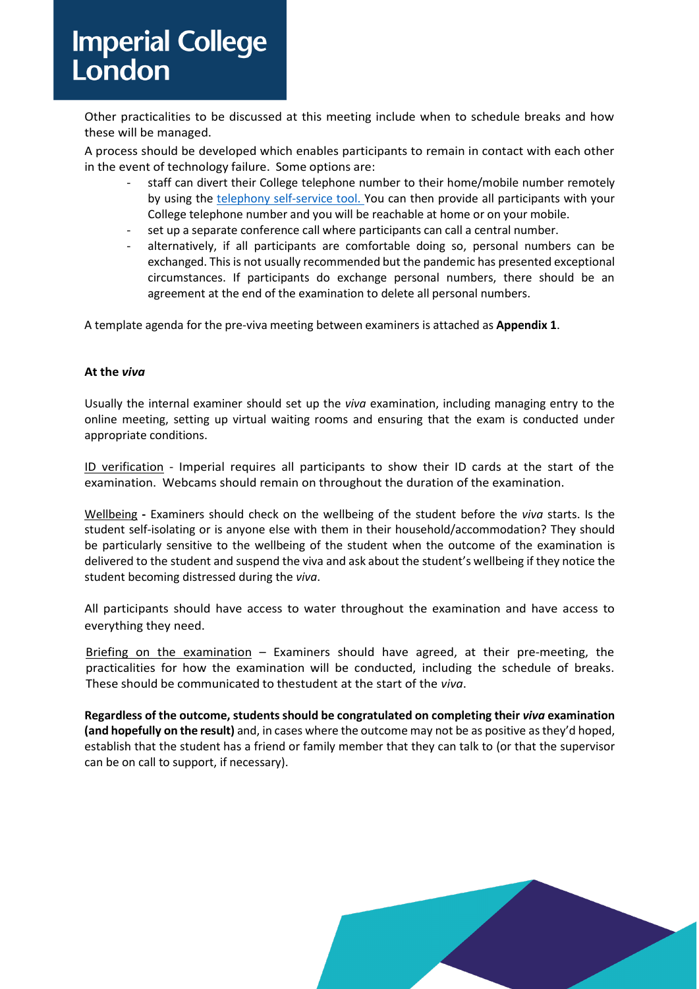# **Imperial College** London

Other practicalities to be discussed at this meeting include when to schedule breaks and how these will be managed.

A process should be developed which enables participants to remain in contact with each other in the event of technology failure. Some options are:

- staff can divert their College telephone number to their home/mobile number remotely by using the [telephony self-service tool.](https://www.imperial.ac.uk/admin-services/ict/self-service/connect-communicate/telephones-mobile/telephony-self-service-tool/) You can then provide all participants with your College telephone number and you will be reachable at home or on your mobile.
- set up a separate conference call where participants can call a central number.
- alternatively, if all participants are comfortable doing so, personal numbers can be exchanged. This is not usually recommended but the pandemic has presented exceptional circumstances. If participants do exchange personal numbers, there should be an agreement at the end of the examination to delete all personal numbers.

A template agenda for the pre-viva meeting between examiners is attached as **Appendix 1**.

### **At the** *viva*

Usually the internal examiner should set up the *viva* examination, including managing entry to the online meeting, setting up virtual waiting rooms and ensuring that the exam is conducted under appropriate conditions.

ID verification - Imperial requires all participants to show their ID cards at the start of the examination. Webcams should remain on throughout the duration of the examination.

Wellbeing **-** Examiners should check on the wellbeing of the student before the *viva* starts. Is the student self-isolating or is anyone else with them in their household/accommodation? They should be particularly sensitive to the wellbeing of the student when the outcome of the examination is delivered to the student and suspend the viva and ask about the student's wellbeing if they notice the student becoming distressed during the *viva*.

All participants should have access to water throughout the examination and have access to everything they need.

Briefing on the examination - Examiners should have agreed, at their pre-meeting, the practicalities for how the examination will be conducted, including the schedule of breaks. These should be communicated to thestudent at the start of the *viva*.

**Regardless of the outcome, studentsshould be congratulated on completing their** *viva* **examination (and hopefully on the result)** and, in cases where the outcome may not be as positive asthey'd hoped, establish that the student has a friend or family member that they can talk to (or that the supervisor can be on call to support, if necessary).